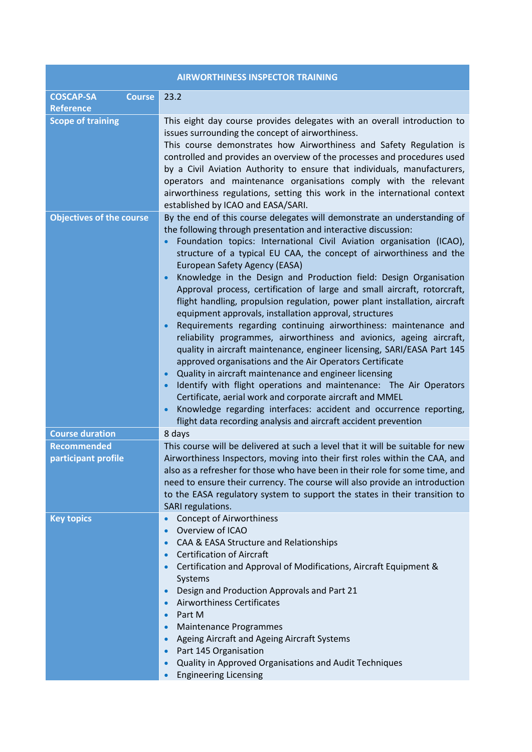| <b>AIRWORTHINESS INSPECTOR TRAINING</b>               |                                                                                                                                                                                                                                                                                                                                                                                                                                                                                                                                                                                                                                                                                                                                                                                                                                                                                                                                                                                                                                                                                                                                                                                                                                                          |
|-------------------------------------------------------|----------------------------------------------------------------------------------------------------------------------------------------------------------------------------------------------------------------------------------------------------------------------------------------------------------------------------------------------------------------------------------------------------------------------------------------------------------------------------------------------------------------------------------------------------------------------------------------------------------------------------------------------------------------------------------------------------------------------------------------------------------------------------------------------------------------------------------------------------------------------------------------------------------------------------------------------------------------------------------------------------------------------------------------------------------------------------------------------------------------------------------------------------------------------------------------------------------------------------------------------------------|
| <b>COSCAP-SA</b><br><b>Course</b><br><b>Reference</b> | 23.2                                                                                                                                                                                                                                                                                                                                                                                                                                                                                                                                                                                                                                                                                                                                                                                                                                                                                                                                                                                                                                                                                                                                                                                                                                                     |
| <b>Scope of training</b>                              | This eight day course provides delegates with an overall introduction to<br>issues surrounding the concept of airworthiness.<br>This course demonstrates how Airworthiness and Safety Regulation is<br>controlled and provides an overview of the processes and procedures used<br>by a Civil Aviation Authority to ensure that individuals, manufacturers,<br>operators and maintenance organisations comply with the relevant<br>airworthiness regulations, setting this work in the international context<br>established by ICAO and EASA/SARI.                                                                                                                                                                                                                                                                                                                                                                                                                                                                                                                                                                                                                                                                                                       |
| <b>Objectives of the course</b>                       | By the end of this course delegates will demonstrate an understanding of<br>the following through presentation and interactive discussion:<br>Foundation topics: International Civil Aviation organisation (ICAO),<br>structure of a typical EU CAA, the concept of airworthiness and the<br>European Safety Agency (EASA)<br>Knowledge in the Design and Production field: Design Organisation<br>Approval process, certification of large and small aircraft, rotorcraft,<br>flight handling, propulsion regulation, power plant installation, aircraft<br>equipment approvals, installation approval, structures<br>Requirements regarding continuing airworthiness: maintenance and<br>reliability programmes, airworthiness and avionics, ageing aircraft,<br>quality in aircraft maintenance, engineer licensing, SARI/EASA Part 145<br>approved organisations and the Air Operators Certificate<br>Quality in aircraft maintenance and engineer licensing<br>Identify with flight operations and maintenance: The Air Operators<br>$\bullet$<br>Certificate, aerial work and corporate aircraft and MMEL<br>Knowledge regarding interfaces: accident and occurrence reporting,<br>flight data recording analysis and aircraft accident prevention |
| <b>Course duration</b>                                | 8 days                                                                                                                                                                                                                                                                                                                                                                                                                                                                                                                                                                                                                                                                                                                                                                                                                                                                                                                                                                                                                                                                                                                                                                                                                                                   |
| <b>Recommended</b><br>participant profile             | This course will be delivered at such a level that it will be suitable for new<br>Airworthiness Inspectors, moving into their first roles within the CAA, and<br>also as a refresher for those who have been in their role for some time, and<br>need to ensure their currency. The course will also provide an introduction<br>to the EASA regulatory system to support the states in their transition to<br>SARI regulations.                                                                                                                                                                                                                                                                                                                                                                                                                                                                                                                                                                                                                                                                                                                                                                                                                          |
| <b>Key topics</b>                                     | <b>Concept of Airworthiness</b><br>$\bullet$<br>Overview of ICAO<br>CAA & EASA Structure and Relationships<br><b>Certification of Aircraft</b><br>$\bullet$<br>Certification and Approval of Modifications, Aircraft Equipment &<br>Systems<br>Design and Production Approvals and Part 21<br><b>Airworthiness Certificates</b><br>Part M<br>$\bullet$<br><b>Maintenance Programmes</b><br>$\bullet$<br>Ageing Aircraft and Ageing Aircraft Systems<br>Part 145 Organisation<br>$\bullet$<br>Quality in Approved Organisations and Audit Techniques<br><b>Engineering Licensing</b>                                                                                                                                                                                                                                                                                                                                                                                                                                                                                                                                                                                                                                                                      |